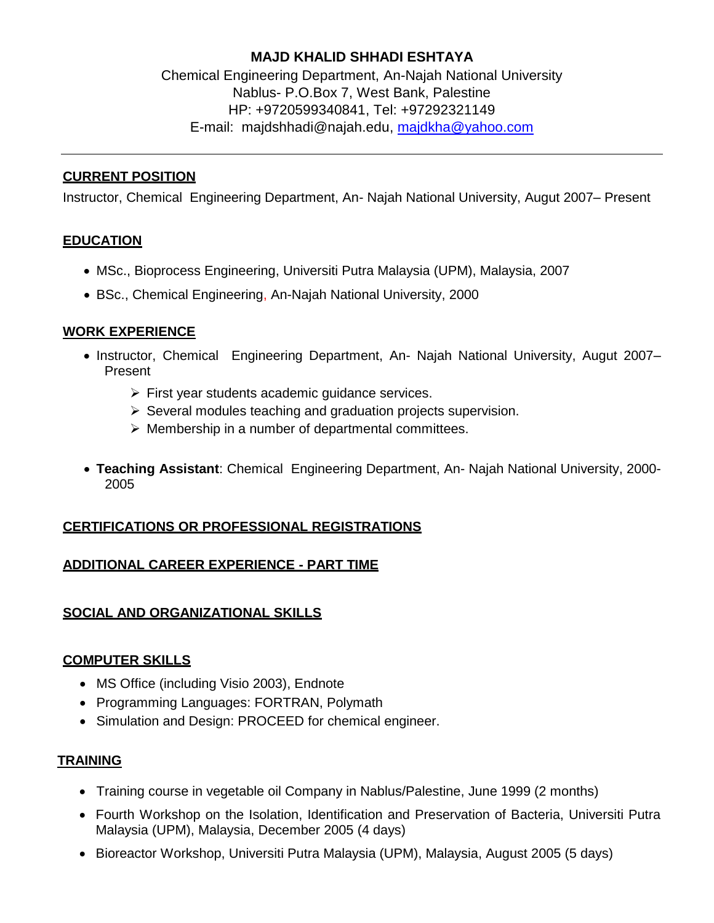# **MAJD KHALID SHHADI ESHTAYA**

Chemical Engineering Department, An-Najah National University Nablus- P.O.Box 7, West Bank, Palestine HP: +9720599340841, Tel: +97292321149 E-mail: [majdshhadi@najah.edu,](mailto:majdshhadi@najah.edu) [majdkha@yahoo.com](mailto:majdkha@yahoo.com)

## **CURRENT POSITION**

Instructor, Chemical Engineering Department, An- Najah National University, Augut 2007– Present

## **EDUCATION**

- MSc., Bioprocess Engineering, Universiti Putra Malaysia (UPM), Malaysia, 2007
- BSc., Chemical Engineering, An-Najah National University, 2000

#### **WORK EXPERIENCE**

- Instructor, Chemical Engineering Department, An- Najah National University, Augut 2007– Present
	- $\triangleright$  First year students academic quidance services.
	- $\triangleright$  Several modules teaching and graduation projects supervision.
	- $\triangleright$  Membership in a number of departmental committees.
- **Teaching Assistant**: Chemical Engineering Department, An- Najah National University, 2000- 2005

## **CERTIFICATIONS OR PROFESSIONAL REGISTRATIONS**

#### **ADDITIONAL CAREER EXPERIENCE - PART TIME**

## **SOCIAL AND ORGANIZATIONAL SKILLS**

## **COMPUTER SKILLS**

- MS Office (including Visio 2003), Endnote
- Programming Languages: FORTRAN, Polymath
- Simulation and Design: PROCEED for chemical engineer.

#### **TRAINING**

- Training course in vegetable oil Company in Nablus/Palestine, June 1999 (2 months)
- Fourth Workshop on the Isolation, Identification and Preservation of Bacteria, Universiti Putra Malaysia (UPM), Malaysia, December 2005 (4 days)
- Bioreactor Workshop, Universiti Putra Malaysia (UPM), Malaysia, August 2005 (5 days)